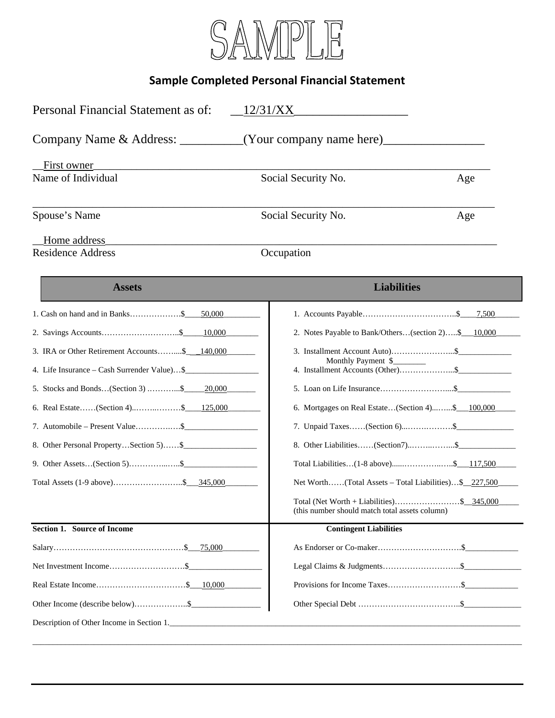

## **Sample Completed Personal Financial Statement**

| Personal Financial Statement as of:             | 12/31/XX                                                                                    |     |
|-------------------------------------------------|---------------------------------------------------------------------------------------------|-----|
|                                                 | (Your company name here) $\sqrt{ }$                                                         |     |
| First owner                                     |                                                                                             |     |
| Name of Individual                              | Social Security No.                                                                         | Age |
| Spouse's Name                                   | Social Security No.                                                                         | Age |
| Home address<br><b>Residence Address</b>        | Occupation                                                                                  |     |
| <b>Assets</b>                                   | <b>Liabilities</b>                                                                          |     |
| 1. Cash on hand and in Banks\$ $50,000$         |                                                                                             |     |
|                                                 | 2. Notes Payable to Bank/Others(section 2)\$ 10,000                                         |     |
| 3. IRA or Other Retirement Accounts\$___140,000 |                                                                                             |     |
| 4. Life Insurance – Cash Surrender Value)\$     |                                                                                             |     |
| 5. Stocks and Bonds(Section 3) \$ 20,000        |                                                                                             |     |
| 6. Real Estate(Section 4)\$ <u>125,000</u>      | 6. Mortgages on Real Estate(Section 4)\$ 100,000                                            |     |
| 7. Automobile – Present Value\$                 | 7. Unpaid Taxes(Section 6)\$                                                                |     |
| 8. Other Personal PropertySection 5) \$         | 8. Other Liabilities(Section7)\$                                                            |     |
| 9. Other Assets(Section 5)\$                    | Total Liabilities(1-8 above)\$___117,500                                                    |     |
|                                                 | Net Worth(Total Assets – Total Liabilities)\$ 227,500                                       |     |
|                                                 | Total (Net Worth + Liabilities)\$ 345,000<br>(this number should match total assets column) |     |
| Section 1. Source of Income                     | <b>Contingent Liabilities</b>                                                               |     |
|                                                 |                                                                                             |     |
|                                                 |                                                                                             |     |
|                                                 |                                                                                             |     |
|                                                 |                                                                                             |     |
| Description of Other Income in Section 1.       |                                                                                             |     |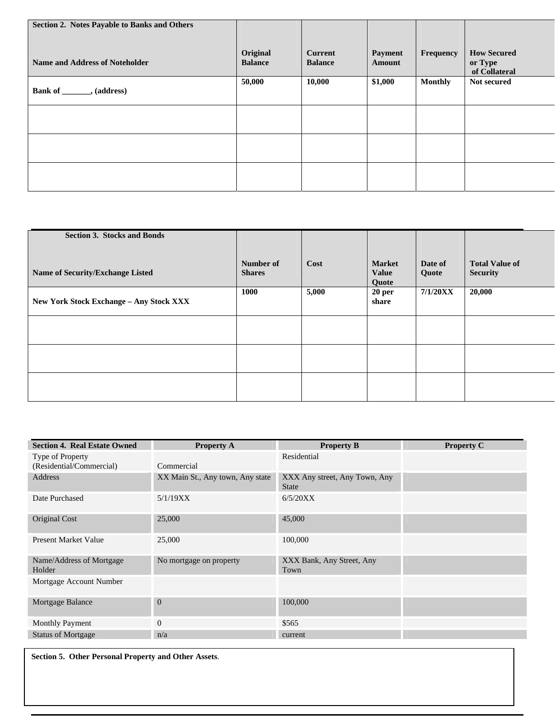| Section 2. Notes Payable to Banks and Others |                            |                                  |                                 |                |                                                |
|----------------------------------------------|----------------------------|----------------------------------|---------------------------------|----------------|------------------------------------------------|
| <b>Name and Address of Noteholder</b>        | Original<br><b>Balance</b> | <b>Current</b><br><b>Balance</b> | <b>Payment</b><br><b>Amount</b> | Frequency      | <b>How Secured</b><br>or Type<br>of Collateral |
| Bank of ________, (address)                  | 50,000                     | 10,000                           | \$1,000                         | <b>Monthly</b> | Not secured                                    |
|                                              |                            |                                  |                                 |                |                                                |
|                                              |                            |                                  |                                 |                |                                                |
|                                              |                            |                                  |                                 |                |                                                |

| <b>Section 3. Stocks and Bonds</b>             |               |       |                   |          |                       |
|------------------------------------------------|---------------|-------|-------------------|----------|-----------------------|
|                                                |               |       |                   |          |                       |
|                                                |               |       |                   |          |                       |
|                                                |               |       |                   |          |                       |
|                                                | Number of     | Cost  | <b>Market</b>     | Date of  | <b>Total Value of</b> |
|                                                |               |       |                   |          |                       |
| Name of Security/Exchange Listed               | <b>Shares</b> |       | <b>Value</b>      | Quote    | <b>Security</b>       |
|                                                |               |       | Quote             |          |                       |
|                                                | 1000          | 5,000 |                   | 7/1/20XX | 20,000                |
|                                                |               |       | 20 <sub>per</sub> |          |                       |
| <b>New York Stock Exchange - Any Stock XXX</b> |               |       | share             |          |                       |
|                                                |               |       |                   |          |                       |
|                                                |               |       |                   |          |                       |
|                                                |               |       |                   |          |                       |
|                                                |               |       |                   |          |                       |
|                                                |               |       |                   |          |                       |
|                                                |               |       |                   |          |                       |
|                                                |               |       |                   |          |                       |
|                                                |               |       |                   |          |                       |
|                                                |               |       |                   |          |                       |
|                                                |               |       |                   |          |                       |
|                                                |               |       |                   |          |                       |
|                                                |               |       |                   |          |                       |
|                                                |               |       |                   |          |                       |
|                                                |               |       |                   |          |                       |
|                                                |               |       |                   |          |                       |

| <b>Section 4. Real Estate Owned</b>          | <b>Property A</b>                | <b>Property B</b>                             | <b>Property C</b> |
|----------------------------------------------|----------------------------------|-----------------------------------------------|-------------------|
| Type of Property<br>(Residential/Commercial) | Commercial                       | Residential                                   |                   |
| <b>Address</b>                               | XX Main St., Any town, Any state | XXX Any street, Any Town, Any<br><b>State</b> |                   |
| Date Purchased                               | 5/1/19XX                         | 6/5/20XX                                      |                   |
| Original Cost                                | 25,000                           | 45,000                                        |                   |
| <b>Present Market Value</b>                  | 25,000                           | 100,000                                       |                   |
| Name/Address of Mortgage<br>Holder           | No mortgage on property          | XXX Bank, Any Street, Any<br>Town             |                   |
| Mortgage Account Number                      |                                  |                                               |                   |
| Mortgage Balance                             | $\overline{0}$                   | 100,000                                       |                   |
| <b>Monthly Payment</b>                       | $\overline{0}$                   | \$565                                         |                   |
| <b>Status of Mortgage</b>                    | n/a                              | current                                       |                   |

**Section 5. Other Personal Property and Other Assets**.